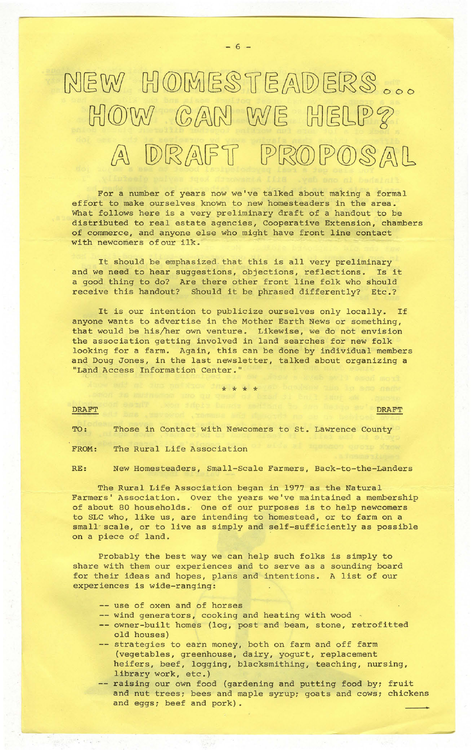## NEW HOMESTEADERS ...  $HOW$  *CAN WE HELP?* A DRAFT PROPOSAL

 $- 6 -$ 

For a number of years now we've talked about making a formal effort to make ourselves known to new homesteaders in the area. What follows here is a very preliminary draft of a handout to be distributed to real estate agencies, Cooperative Extension, chambers of commerce. and anyone else who might have front line contact with newcomers of our ilk.

It should be emphasized that this is all very preliminary and we need to hear suggestions, objections, reflections. Is it a good thing to do? Are there other front line folk who should receive this handout? Should it be phrased differently? Etc.?

It is our intention to publicize ourselves only locally. If anyone wants to advertise in the Mother Earth News or something, that would be his/her own venture. Likewise, we do not envision the association getting involved in land searches for new folk looking for a farm. Again, this can be done by individual members and Doug Jones, in the last newsletter, talked about organizing a "Land Access Information Center.'

\* \* \* \*

## **DRAFT**

TO: Those in Contact with Newcomers to st. Lawrence County

FROM: The Rural Life Association

RE: New Homesteaders, Small-Scale Farmers, Back-to-the-Landers

The Rural Life Association began in 1977 as the Natural Farmers' Association. Over the years we've maintained a membership of about 80 households. One of our purposes is to help newcomers to SLC who, like us, are intending to homestead, or to farm on a small- scale, or to live as simply and self-sufficiently as possible on a piece of land.

Probably the best way we can help such folks is simply to share with them our experiences and to serve as a sounding board for their ideas and hopes, plans and intentions. A list of our experiences is wide-ranging:

- -- use of oxen and of horses
- -- wind generators, cooking and heating with wood .
- -- owner-built homes (log, post and beam, stone, retrofitted old houses)
- -- strategies to earn money, both on farm and off farm (vegetables, greenhouse, dairy, yogurt, replacement heifers, beef, logging, blacksmithing, teaching, nursing, library work, etc.)
- -- raising our own food (gardening and putting food by; fruit and nut trees; bees and maple syrup; goats and cows; chickens and eggs; beef and pork).

**DRAFT**